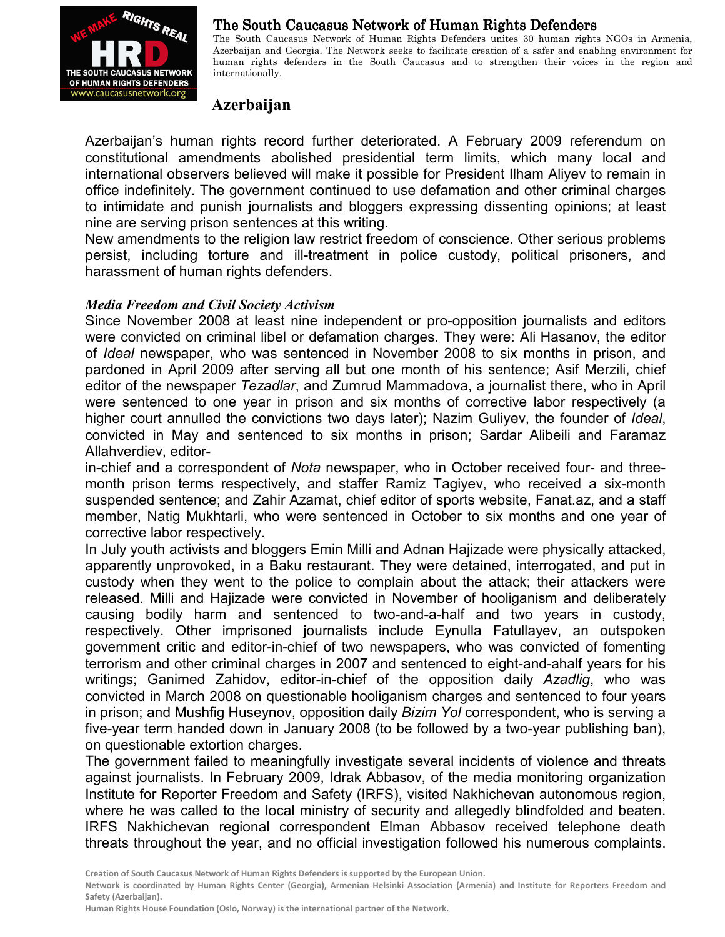

## The South Caucasus Network of Human Rights Defenders

The South Caucasus Network of Human Rights Defenders unites 30 human rights NGOs in Armenia, The South Caucasus Network of Human Rights Defenders unites 30 human rights NGOs in Armenia,<br>Azerbaijan and Georgia. The Network seeks to facilitate creation of a safer and enabling environment for human rights defenders in the South Caucasus and to strengthen their voices in the region and internationally.

# **Azerbaijan**

Azerbaijan's human rights record further deteriorated. A February 2009 referendum on constitutional amendments abolished presidential term limits, which international observers believed will make it possible for President Aliyev to remain in office indefinitely. The government continued to use defamation and other criminal charges to intimidate and punish journalists and bloggers expressing dissenting opinions; at least nine are serving prison sentences sentences at this writing. record further deteriorated. A February 20<br>| abolished presidential term limits, which<br>ved will make it possible for President Ilham which many local and ontinued to use defamation and other criminal charges<br>and bloggers expressing dissenting opinions; at least<br>this writing.<br>restrict freedom of conscience. Other serious problems

New amendments to the religion law restrict freedom of conscience. Other serious New amendments to the religion law restrict freedom of conscience. Other serious problems<br>persist, including torture and ill-treatment in police custody, political prisoners, and harassment of human rights defenders.

# *Media Freedom and Civil Society Act Activism*

Since November 2008 at least nine independent or pro-opposition journalists and editors were convicted on criminal libel or defamation charges. They were: Ali Hasanov, the editor of *Ideal* newspaper, who was sentenced in November 2008 to six months in prison, and pardoned in April 2009 after serving all but one month of his sentence; Asif Merzili, chief editor of the newspaper *Tezadlar*, and Zumrud Mammadova, a journalist there, who in April were sentenced to one year in prison and six months of corrective labor respectively (a pardoned in April 2009 after serving all but one month of his sentence; Asif Merzili, chief editor of the newspaper *Tezadlar*, and Zumrud Mammadova, a journalist there, who in April were sentenced to one year in prison an convicted in May and sentenced to six months in prison; Sardar Alibeili and Faramaz<br>Allahverdiev, editor-<br>in-chief and a correspondent of *Nota* newspaper, who in October received four- and three-Allahverdiev, editor-

in-chief and a correspondent of Nota newspaper, who in October received four- and threemonth prison terms respectively, and staffer Ramiz Tagiyev, who received a six-month suspended sentence; and Zahir Azamat, chief editor of sports website, Fanat.az, and a staff member, Natig Mukhtarli, who were sentenced in October to six months and one year of corrective labor respectively. suspended sentence; and Zahir Azamat, chief editor of sports website, Fanat.az, and a staff<br>member, Natig Mukhtarli, who were sentenced in October to six months and one year of<br>corrective labor respectively.<br>In July youth

apparently unprovoked, in a Baku restaurant. They were detained, interrogated, and put in custody when they went to the police to complain about the attack; their attackers were released. Milli and Hajizade were convicted in November of hooliganism and deliberately causing bodily harm and sentenced to two-and-a-half and two respectively. Other imprisoned journalists include Eynulla Fatullayev, an outspoken respectively. Other imprisoned journalists include Eynulla Fatullayev, an outspoken<br>government critic and editor-in-chief of two newspapers, who was convicted of fomenting government critic and editor-in-chief of two newspapers, who was convicted of fomenting<br>terrorism and other criminal charges in 2007 and sentenced to eight-and-ahalf years for his writings; Ganimed Zahidov, editor-in-chief of the opposition daily Azadlig, who was convicted in March 2008 on questionable hooliganism charges and sentenced to four years in prison; and Mushfig Huseynov, opposition daily *Bizim Yol* correspondent, who is serving a five-year term handed down in January 2008 (to be followed by a two-year publishing ban), on questionable extortion charges. convicted in March 2008 on questionable hooliganism charges and sentenced to four years<br>in prison; and Mushfig Huseynov, opposition daily *Bizim Yol* correspondent, who is serving a<br>five-year term handed down in January 20 th Caucasus Notwork of Human Rights Defenders<br>
and Consens Netwit of Human Rights Defenders units 30 blunen rights<br>
in dierugin. The Netwith weak to factually results and the method with<br>
in dierugin, the Netwith weak to f out the attack; their attackers were<br>oer of hooliganism and deliberately<br>half and two years in custody,

against journalists. In February 2009, Idrak Abbasov, of the media monitoring organization Institute for Reporter Freedom and Safety (IRFS), visited Nakhichevan autonomous region, where he was called to the local ministry of security and allegedly blindfolded and beaten. IRFS Nakhichevan regional correspondent Elman Abbasov received telephone death threats throughout the year, and no official investigation followed his numerous complaints.

**Creation of South Caucasus Network of Human Rights Defenders is supported by the Eu European Union.** 

Network is coordinated by Human Rights Center (Georgia), Armenian Helsinki Association (Armenia) and Institute for Reporters Freedom and<br>Safety (Azerbaijan).<br>Human Rights House Foundation (Oslo, Norway) is the internationa **Safety (Azerbaijan).**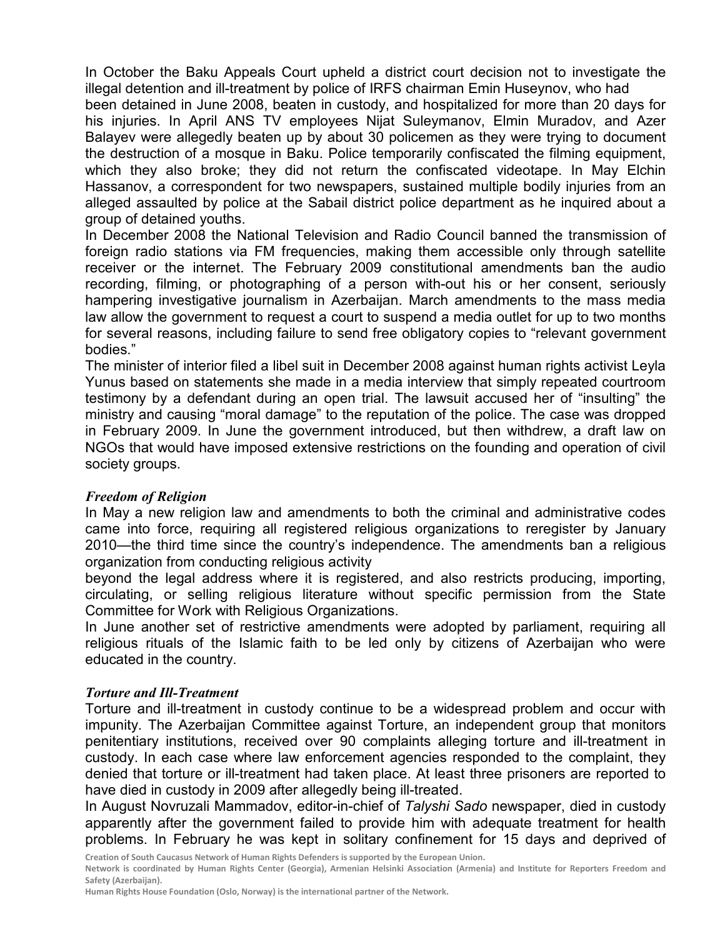In October the Baku Appeals Court upheld a district court decision not to investigate the illegal detention and ill-treatment by police of IRFS chairman Emin Huseynov, who had

been detained in June 2008, beaten in custody, and hospitalized for more than 20 days for his injuries. In April ANS TV employees Nijat Suleymanov, Elmin Muradov, and Azer Balayev were allegedly beaten up by about 30 policemen as they were trying to document the destruction of a mosque in Baku. Police temporarily confiscated the filming equipment, which they also broke; they did not return the confiscated videotape. In May Elchin Hassanov, a correspondent for two newspapers, sustained multiple bodily injuries from an alleged assaulted by police at the Sabail district police department as he inquired about a group of detained youths.

In December 2008 the National Television and Radio Council banned the transmission of foreign radio stations via FM frequencies, making them accessible only through satellite receiver or the internet. The February 2009 constitutional amendments ban the audio recording, filming, or photographing of a person with-out his or her consent, seriously hampering investigative journalism in Azerbaijan. March amendments to the mass media law allow the government to request a court to suspend a media outlet for up to two months for several reasons, including failure to send free obligatory copies to "relevant government bodies."

The minister of interior filed a libel suit in December 2008 against human rights activist Leyla Yunus based on statements she made in a media interview that simply repeated courtroom testimony by a defendant during an open trial. The lawsuit accused her of "insulting" the ministry and causing "moral damage" to the reputation of the police. The case was dropped in February 2009. In June the government introduced, but then withdrew, a draft law on NGOs that would have imposed extensive restrictions on the founding and operation of civil society groups.

### *Freedom of Religion*

In May a new religion law and amendments to both the criminal and administrative codes came into force, requiring all registered religious organizations to reregister by January 2010—the third time since the country's independence. The amendments ban a religious organization from conducting religious activity

beyond the legal address where it is registered, and also restricts producing, importing, circulating, or selling religious literature without specific permission from the State Committee for Work with Religious Organizations.

In June another set of restrictive amendments were adopted by parliament, requiring all religious rituals of the Islamic faith to be led only by citizens of Azerbaijan who were educated in the country.

### *Torture and Ill-Treatment*

Torture and ill-treatment in custody continue to be a widespread problem and occur with impunity. The Azerbaijan Committee against Torture, an independent group that monitors penitentiary institutions, received over 90 complaints alleging torture and ill-treatment in custody. In each case where law enforcement agencies responded to the complaint, they denied that torture or ill-treatment had taken place. At least three prisoners are reported to have died in custody in 2009 after allegedly being ill-treated.

In August Novruzali Mammadov, editor-in-chief of *Talyshi Sado* newspaper, died in custody apparently after the government failed to provide him with adequate treatment for health problems. In February he was kept in solitary confinement for 15 days and deprived of

**Creation of South Caucasus Network of Human Rights Defenders is supported by the European Union.** 

**Network is coordinated by Human Rights Center (Georgia), Armenian Helsinki Association (Armenia) and Institute for Reporters Freedom and Safety (Azerbaijan).** 

**Human Rights House Foundation (Oslo, Norway) is the international partner of the Network.**